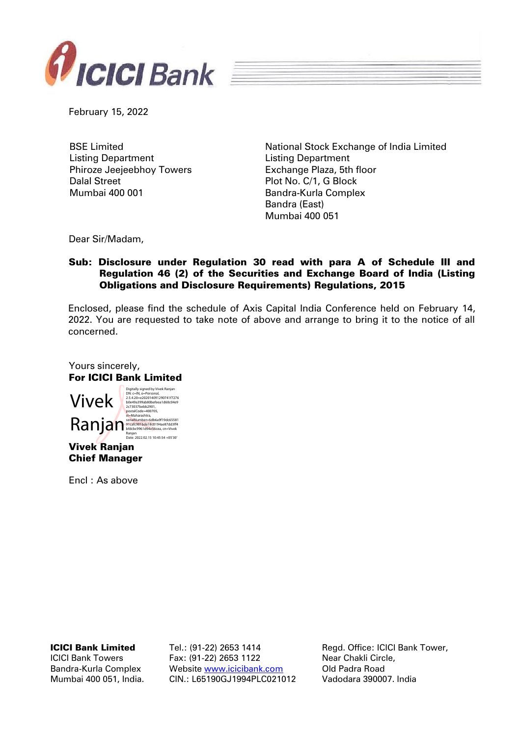

February 15, 2022

BSE Limited Listing Department Phiroze Jeejeebhoy Towers Dalal Street Mumbai 400 001

National Stock Exchange of India Limited Listing Department Exchange Plaza, 5th floor Plot No. C/1, G Block Bandra-Kurla Complex Bandra (East) Mumbai 400 051

Dear Sir/Madam,

## Sub: Disclosure under Regulation 30 read with para A of Schedule III and Regulation 46 (2) of the Securities and Exchange Board of India (Listing Obligations and Disclosure Requirements) Regulations, 2015

Enclosed, please find the schedule of Axis Capital India Conference held on February 14, 2022. You are requested to take note of above and arrange to bring it to the notice of all concerned.

Yours sincerely, For ICICI Bank Limited Vivek Ranjan Chief Manager Vivek Ranjan in ErlalNumber=6db6a9f19dc65581<br>Maria Ranja State Score Score Score Score Score Score Score Score Score Score Score Score Score Score Score Score<br>Banjan Score Score Score Score Score Score Score Score Score Score Sc Digitally signed by Vivek Ranjan DN: c=IN, o=Personal, 2.5.4.20=e202014091290741f7276 b0e49a399ab80befeea1d60c04e9 2c73037bebb2901, postalCode=400705, st=Maharashtra, Ranjan Date: 2022.02.15 10:45:54 +05'30'

Encl : As above

ICICI Bank Limited

ICICI Bank Towers Bandra-Kurla Complex Mumbai 400 051, India. Tel.: (91-22) 2653 1414 Fax: (91-22) 2653 1122 Website [www.icicibank.com](http://www.icicibank.com/) CIN.: L65190GJ1994PLC021012

Regd. Office: ICICI Bank Tower, Near Chakli Circle, Old Padra Road Vadodara 390007. India